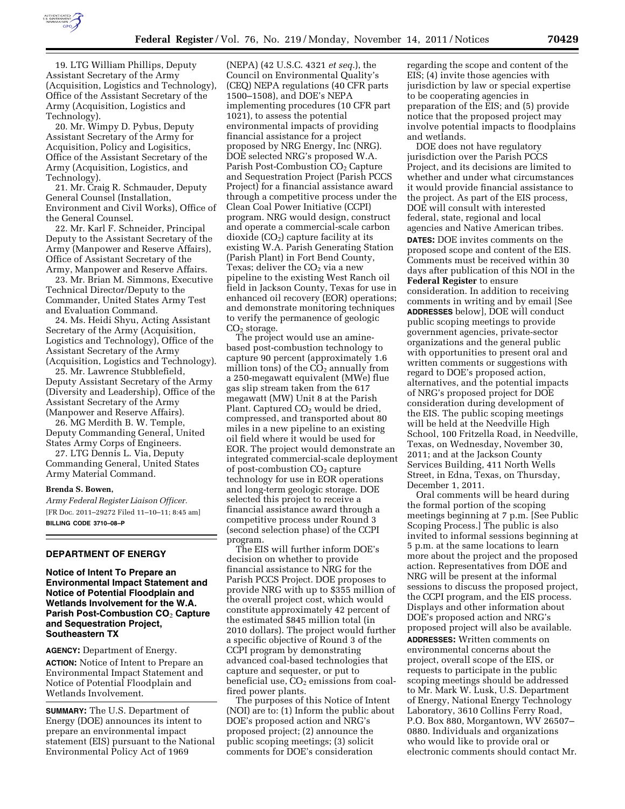

19. LTG William Phillips, Deputy Assistant Secretary of the Army (Acquisition, Logistics and Technology), Office of the Assistant Secretary of the Army (Acquisition, Logistics and Technology).

20. Mr. Wimpy D. Pybus, Deputy Assistant Secretary of the Army for Acquisition, Policy and Logisitics, Office of the Assistant Secretary of the Army (Acquisition, Logistics, and Technology).

21. Mr. Craig R. Schmauder, Deputy General Counsel (Installation, Environment and Civil Works), Office of the General Counsel.

22. Mr. Karl F. Schneider, Principal Deputy to the Assistant Secretary of the Army (Manpower and Reserve Affairs), Office of Assistant Secretary of the Army, Manpower and Reserve Affairs.

23. Mr. Brian M. Simmons, Executive Technical Director/Deputy to the Commander, United States Army Test and Evaluation Command.

24. Ms. Heidi Shyu, Acting Assistant Secretary of the Army (Acquisition, Logistics and Technology), Office of the Assistant Secretary of the Army (Acquisition, Logistics and Technology).

25. Mr. Lawrence Stubblefield, Deputy Assistant Secretary of the Army (Diversity and Leadership), Office of the Assistant Secretary of the Army (Manpower and Reserve Affairs).

26. MG Merdith B. W. Temple, Deputy Commanding General, United States Army Corps of Engineers.

27. LTG Dennis L. Via, Deputy Commanding General, United States Army Material Command.

### **Brenda S. Bowen,**

*Army Federal Register Liaison Officer.*  [FR Doc. 2011–29272 Filed 11–10–11; 8:45 am] **BILLING CODE 3710–08–P** 

# **DEPARTMENT OF ENERGY**

# **Notice of Intent To Prepare an Environmental Impact Statement and Notice of Potential Floodplain and Wetlands Involvement for the W.A. Parish Post-Combustion CO**2 **Capture and Sequestration Project, Southeastern TX**

### **AGENCY:** Department of Energy.

**ACTION:** Notice of Intent to Prepare an Environmental Impact Statement and Notice of Potential Floodplain and Wetlands Involvement.

**SUMMARY:** The U.S. Department of Energy (DOE) announces its intent to prepare an environmental impact statement (EIS) pursuant to the National Environmental Policy Act of 1969

(NEPA) (42 U.S.C. 4321 *et seq.*), the Council on Environmental Quality's (CEQ) NEPA regulations (40 CFR parts 1500–1508), and DOE's NEPA implementing procedures (10 CFR part 1021), to assess the potential environmental impacts of providing financial assistance for a project proposed by NRG Energy, Inc (NRG). DOE selected NRG's proposed W.A. Parish Post-Combustion CO<sub>2</sub> Capture and Sequestration Project (Parish PCCS Project) for a financial assistance award through a competitive process under the Clean Coal Power Initiative (CCPI) program. NRG would design, construct and operate a commercial-scale carbon dioxide  $(CO<sub>2</sub>)$  capture facility at its existing W.A. Parish Generating Station (Parish Plant) in Fort Bend County, Texas; deliver the CO<sub>2</sub> via a new pipeline to the existing West Ranch oil field in Jackson County, Texas for use in enhanced oil recovery (EOR) operations; and demonstrate monitoring techniques to verify the permanence of geologic  $CO<sub>2</sub>$  storage.

The project would use an aminebased post-combustion technology to capture 90 percent (approximately 1.6 million tons) of the  $CO<sub>2</sub>$  annually from a 250-megawatt equivalent (MWe) flue gas slip stream taken from the 617 megawatt (MW) Unit 8 at the Parish Plant. Captured  $CO<sub>2</sub>$  would be dried, compressed, and transported about 80 miles in a new pipeline to an existing oil field where it would be used for EOR. The project would demonstrate an integrated commercial-scale deployment of post-combustion  $CO<sub>2</sub>$  capture technology for use in EOR operations and long-term geologic storage. DOE selected this project to receive a financial assistance award through a competitive process under Round 3 (second selection phase) of the CCPI program.

The EIS will further inform DOE's decision on whether to provide financial assistance to NRG for the Parish PCCS Project. DOE proposes to provide NRG with up to \$355 million of the overall project cost, which would constitute approximately 42 percent of the estimated \$845 million total (in 2010 dollars). The project would further a specific objective of Round 3 of the CCPI program by demonstrating advanced coal-based technologies that capture and sequester, or put to beneficial use,  $CO<sub>2</sub>$  emissions from coalfired power plants.

The purposes of this Notice of Intent (NOI) are to: (1) Inform the public about DOE's proposed action and NRG's proposed project; (2) announce the public scoping meetings; (3) solicit comments for DOE's consideration

regarding the scope and content of the EIS; (4) invite those agencies with jurisdiction by law or special expertise to be cooperating agencies in preparation of the EIS; and (5) provide notice that the proposed project may involve potential impacts to floodplains and wetlands.

DOE does not have regulatory jurisdiction over the Parish PCCS Project, and its decisions are limited to whether and under what circumstances it would provide financial assistance to the project. As part of the EIS process, DOE will consult with interested federal, state, regional and local agencies and Native American tribes. **DATES:** DOE invites comments on the proposed scope and content of the EIS. Comments must be received within 30 days after publication of this NOI in the **Federal Register** to ensure consideration. In addition to receiving comments in writing and by email [See **ADDRESSES** below], DOE will conduct public scoping meetings to provide government agencies, private-sector organizations and the general public with opportunities to present oral and written comments or suggestions with regard to DOE's proposed action, alternatives, and the potential impacts of NRG's proposed project for DOE consideration during development of the EIS. The public scoping meetings will be held at the Needville High School, 100 Fritzella Road, in Needville, Texas, on Wednesday, November 30, 2011; and at the Jackson County Services Building, 411 North Wells Street, in Edna, Texas, on Thursday, December 1, 2011.

Oral comments will be heard during the formal portion of the scoping meetings beginning at 7 p.m. [See Public Scoping Process.] The public is also invited to informal sessions beginning at 5 p.m. at the same locations to learn more about the project and the proposed action. Representatives from DOE and NRG will be present at the informal sessions to discuss the proposed project, the CCPI program, and the EIS process. Displays and other information about DOE's proposed action and NRG's proposed project will also be available.

**ADDRESSES:** Written comments on environmental concerns about the project, overall scope of the EIS, or requests to participate in the public scoping meetings should be addressed to Mr. Mark W. Lusk, U.S. Department of Energy, National Energy Technology Laboratory, 3610 Collins Ferry Road, P.O. Box 880, Morgantown, WV 26507– 0880. Individuals and organizations who would like to provide oral or electronic comments should contact Mr.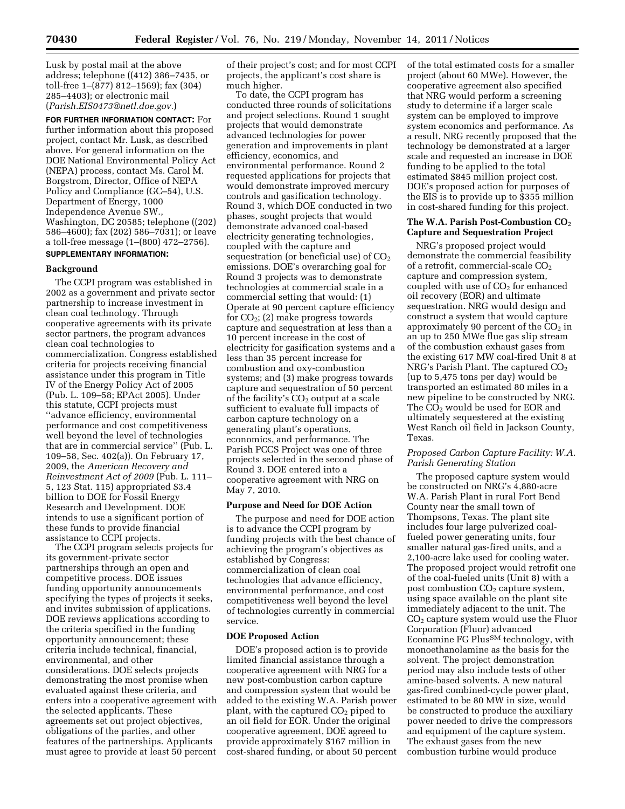Lusk by postal mail at the above address; telephone ((412) 386–7435, or toll-free 1–(877) 812–1569); fax (304) 285–4403); or electronic mail (*[Parish.EIS0473@netl.doe.gov.](mailto:Parish.EIS0473@netl.doe.gov)*)

**FOR FURTHER INFORMATION CONTACT:** For further information about this proposed project, contact Mr. Lusk, as described above. For general information on the DOE National Environmental Policy Act (NEPA) process, contact Ms. Carol M. Borgstrom, Director, Office of NEPA Policy and Compliance (GC–54), U.S. Department of Energy, 1000 Independence Avenue SW., Washington, DC 20585; telephone ((202) 586–4600); fax (202) 586–7031); or leave a toll-free message (1–(800) 472–2756). **SUPPLEMENTARY INFORMATION:** 

## **Background**

The CCPI program was established in 2002 as a government and private sector partnership to increase investment in clean coal technology. Through cooperative agreements with its private sector partners, the program advances clean coal technologies to commercialization. Congress established criteria for projects receiving financial assistance under this program in Title IV of the Energy Policy Act of 2005 (Pub. L. 109–58; EPAct 2005). Under this statute, CCPI projects must ''advance efficiency, environmental performance and cost competitiveness well beyond the level of technologies that are in commercial service'' (Pub. L. 109–58, Sec. 402(a)). On February 17, 2009, the *American Recovery and Reinvestment Act of 2009* (Pub. L. 111– 5, 123 Stat. 115) appropriated \$3.4 billion to DOE for Fossil Energy Research and Development. DOE intends to use a significant portion of these funds to provide financial assistance to CCPI projects.

The CCPI program selects projects for its government-private sector partnerships through an open and competitive process. DOE issues funding opportunity announcements specifying the types of projects it seeks, and invites submission of applications. DOE reviews applications according to the criteria specified in the funding opportunity announcement; these criteria include technical, financial, environmental, and other considerations. DOE selects projects demonstrating the most promise when evaluated against these criteria, and enters into a cooperative agreement with the selected applicants. These agreements set out project objectives, obligations of the parties, and other features of the partnerships. Applicants must agree to provide at least 50 percent

of their project's cost; and for most CCPI projects, the applicant's cost share is much higher.

To date, the CCPI program has conducted three rounds of solicitations and project selections. Round 1 sought projects that would demonstrate advanced technologies for power generation and improvements in plant efficiency, economics, and environmental performance. Round 2 requested applications for projects that would demonstrate improved mercury controls and gasification technology. Round 3, which DOE conducted in two phases, sought projects that would demonstrate advanced coal-based electricity generating technologies, coupled with the capture and sequestration (or beneficial use) of  $CO<sub>2</sub>$ emissions. DOE's overarching goal for Round 3 projects was to demonstrate technologies at commercial scale in a commercial setting that would: (1) Operate at 90 percent capture efficiency for  $CO<sub>2</sub>$ ; (2) make progress towards capture and sequestration at less than a 10 percent increase in the cost of electricity for gasification systems and a less than 35 percent increase for combustion and oxy-combustion systems; and (3) make progress towards capture and sequestration of 50 percent of the facility's  $CO<sub>2</sub>$  output at a scale sufficient to evaluate full impacts of carbon capture technology on a generating plant's operations, economics, and performance. The Parish PCCS Project was one of three projects selected in the second phase of Round 3. DOE entered into a cooperative agreement with NRG on May 7, 2010.

### **Purpose and Need for DOE Action**

The purpose and need for DOE action is to advance the CCPI program by funding projects with the best chance of achieving the program's objectives as established by Congress: commercialization of clean coal technologies that advance efficiency, environmental performance, and cost competitiveness well beyond the level of technologies currently in commercial service.

## **DOE Proposed Action**

DOE's proposed action is to provide limited financial assistance through a cooperative agreement with NRG for a new post-combustion carbon capture and compression system that would be added to the existing W.A. Parish power plant, with the captured  $CO<sub>2</sub>$  piped to an oil field for EOR. Under the original cooperative agreement, DOE agreed to provide approximately \$167 million in cost-shared funding, or about 50 percent of the total estimated costs for a smaller project (about 60 MWe). However, the cooperative agreement also specified that NRG would perform a screening study to determine if a larger scale system can be employed to improve system economics and performance. As a result, NRG recently proposed that the technology be demonstrated at a larger scale and requested an increase in DOE funding to be applied to the total estimated \$845 million project cost. DOE's proposed action for purposes of the EIS is to provide up to \$355 million in cost-shared funding for this project.

### **The W.A. Parish Post-Combustion CO**2 **Capture and Sequestration Project**

NRG's proposed project would demonstrate the commercial feasibility of a retrofit, commercial-scale  $CO<sub>2</sub>$ capture and compression system, coupled with use of  $CO<sub>2</sub>$  for enhanced oil recovery (EOR) and ultimate sequestration. NRG would design and construct a system that would capture approximately 90 percent of the  $CO<sub>2</sub>$  in an up to 250 MWe flue gas slip stream of the combustion exhaust gases from the existing 617 MW coal-fired Unit 8 at NRG's Parish Plant. The captured  $CO<sub>2</sub>$ (up to 5,475 tons per day) would be transported an estimated 80 miles in a new pipeline to be constructed by NRG. The CO<sub>2</sub> would be used for EOR and ultimately sequestered at the existing West Ranch oil field in Jackson County, Texas.

## *Proposed Carbon Capture Facility: W.A. Parish Generating Station*

The proposed capture system would be constructed on NRG's 4,880-acre W.A. Parish Plant in rural Fort Bend County near the small town of Thompsons, Texas. The plant site includes four large pulverized coalfueled power generating units, four smaller natural gas-fired units, and a 2,100-acre lake used for cooling water. The proposed project would retrofit one of the coal-fueled units (Unit 8) with a post combustion  $CO<sub>2</sub>$  capture system, using space available on the plant site immediately adjacent to the unit. The CO2 capture system would use the Fluor Corporation (Fluor) advanced Econamine FG PlusSM technology, with monoethanolamine as the basis for the solvent. The project demonstration period may also include tests of other amine-based solvents. A new natural gas-fired combined-cycle power plant, estimated to be 80 MW in size, would be constructed to produce the auxiliary power needed to drive the compressors and equipment of the capture system. The exhaust gases from the new combustion turbine would produce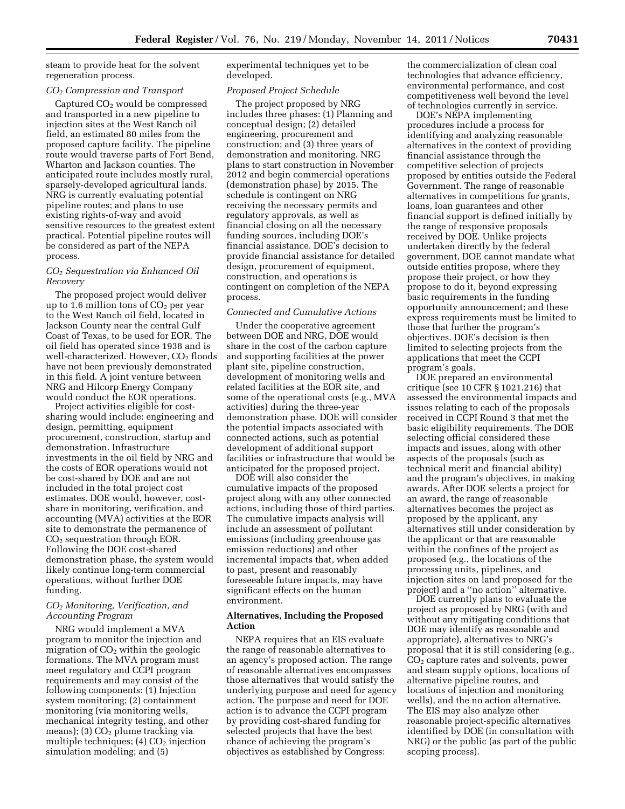steam to provide heat for the solvent regeneration process.

## *CO2 Compression and Transport*

Captured  $CO<sub>2</sub>$  would be compressed and transported in a new pipeline to injection sites at the West Ranch oil field, an estimated 80 miles from the proposed capture facility. The pipeline route would traverse parts of Fort Bend, Wharton and Jackson counties. The anticipated route includes mostly rural, sparsely-developed agricultural lands. NRG is currently evaluating potential pipeline routes; and plans to use existing rights-of-way and avoid sensitive resources to the greatest extent practical. Potential pipeline routes will be considered as part of the NEPA process.

## *CO2 Sequestration via Enhanced Oil Recovery*

The proposed project would deliver up to 1.6 million tons of  $CO<sub>2</sub>$  per year to the West Ranch oil field, located in Jackson County near the central Gulf Coast of Texas, to be used for EOR. The oil field has operated since 1938 and is well-characterized. However,  $CO<sub>2</sub>$  floods have not been previously demonstrated in this field. A joint venture between NRG and Hilcorp Energy Company would conduct the EOR operations.

Project activities eligible for costsharing would include: engineering and design, permitting, equipment procurement, construction, startup and demonstration. Infrastructure investments in the oil field by NRG and the costs of EOR operations would not be cost-shared by DOE and are not included in the total project cost estimates. DOE would, however, costshare in monitoring, verification, and accounting (MVA) activities at the EOR site to demonstrate the permanence of CO2 sequestration through EOR. Following the DOE cost-shared demonstration phase, the system would likely continue long-term commercial operations, without further DOE funding.

# *CO2 Monitoring, Verification, and Accounting Program*

NRG would implement a MVA program to monitor the injection and migration of  $CO<sub>2</sub>$  within the geologic formations. The MVA program must meet regulatory and CCPI program requirements and may consist of the following components: (1) Injection system monitoring; (2) containment monitoring (via monitoring wells, mechanical integrity testing, and other means); (3)  $CO<sub>2</sub>$  plume tracking via multiple techniques;  $(4)$  CO<sub>2</sub> injection simulation modeling; and (5)

experimental techniques yet to be developed.

### *Proposed Project Schedule*

The project proposed by NRG includes three phases: (1) Planning and conceptual design; (2) detailed engineering, procurement and construction; and (3) three years of demonstration and monitoring. NRG plans to start construction in November 2012 and begin commercial operations (demonstration phase) by 2015. The schedule is contingent on NRG receiving the necessary permits and regulatory approvals, as well as financial closing on all the necessary funding sources, including DOE's financial assistance. DOE's decision to provide financial assistance for detailed design, procurement of equipment, construction, and operations is contingent on completion of the NEPA process.

## *Connected and Cumulative Actions*

Under the cooperative agreement between DOE and NRG, DOE would share in the cost of the carbon capture and supporting facilities at the power plant site, pipeline construction, development of monitoring wells and related facilities at the EOR site, and some of the operational costs (e.g., MVA activities) during the three-year demonstration phase. DOE will consider the potential impacts associated with connected actions, such as potential development of additional support facilities or infrastructure that would be anticipated for the proposed project.

DOE will also consider the cumulative impacts of the proposed project along with any other connected actions, including those of third parties. The cumulative impacts analysis will include an assessment of pollutant emissions (including greenhouse gas emission reductions) and other incremental impacts that, when added to past, present and reasonably foreseeable future impacts, may have significant effects on the human environment.

## **Alternatives, Including the Proposed Action**

NEPA requires that an EIS evaluate the range of reasonable alternatives to an agency's proposed action. The range of reasonable alternatives encompasses those alternatives that would satisfy the underlying purpose and need for agency action. The purpose and need for DOE action is to advance the CCPI program by providing cost-shared funding for selected projects that have the best chance of achieving the program's objectives as established by Congress:

the commercialization of clean coal technologies that advance efficiency, environmental performance, and cost competitiveness well beyond the level of technologies currently in service.

DOE's NEPA implementing procedures include a process for identifying and analyzing reasonable alternatives in the context of providing financial assistance through the competitive selection of projects proposed by entities outside the Federal Government. The range of reasonable alternatives in competitions for grants, loans, loan guarantees and other financial support is defined initially by the range of responsive proposals received by DOE. Unlike projects undertaken directly by the federal government, DOE cannot mandate what outside entities propose, where they propose their project, or how they propose to do it, beyond expressing basic requirements in the funding opportunity announcement; and these express requirements must be limited to those that further the program's objectives. DOE's decision is then limited to selecting projects from the applications that meet the CCPI program's goals.

DOE prepared an environmental critique (see 10 CFR § 1021.216) that assessed the environmental impacts and issues relating to each of the proposals received in CCPI Round 3 that met the basic eligibility requirements. The DOE selecting official considered these impacts and issues, along with other aspects of the proposals (such as technical merit and financial ability) and the program's objectives, in making awards. After DOE selects a project for an award, the range of reasonable alternatives becomes the project as proposed by the applicant, any alternatives still under consideration by the applicant or that are reasonable within the confines of the project as proposed (e.g., the locations of the processing units, pipelines, and injection sites on land proposed for the project) and a ''no action'' alternative.

DOE currently plans to evaluate the project as proposed by NRG (with and without any mitigating conditions that DOE may identify as reasonable and appropriate), alternatives to NRG's proposal that it is still considering (e.g., CO2 capture rates and solvents, power and steam supply options, locations of alternative pipeline routes, and locations of injection and monitoring wells), and the no action alternative. The EIS may also analyze other reasonable project-specific alternatives identified by DOE (in consultation with NRG) or the public (as part of the public scoping process).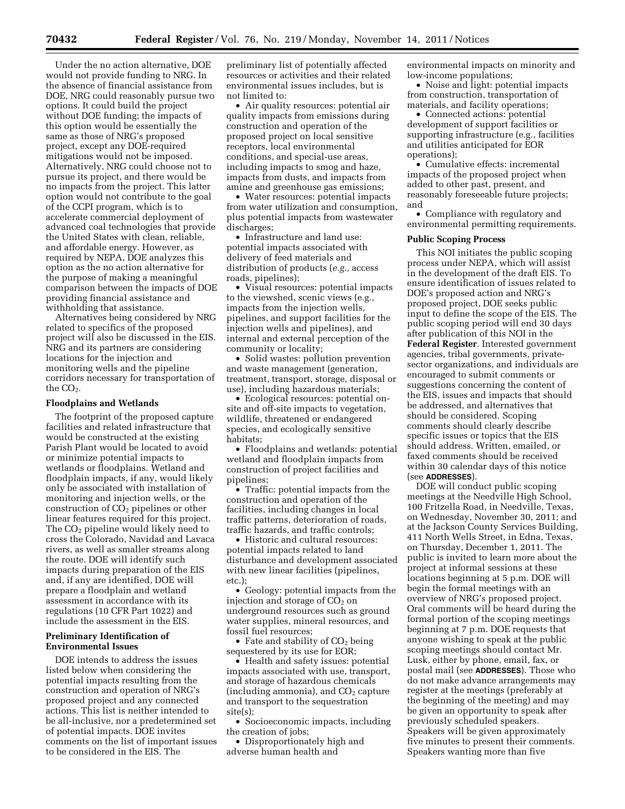Under the no action alternative, DOE would not provide funding to NRG. In the absence of financial assistance from DOE, NRG could reasonably pursue two options. It could build the project without DOE funding; the impacts of this option would be essentially the same as those of NRG's proposed project, except any DOE-required mitigations would not be imposed. Alternatively, NRG could choose not to pursue its project, and there would be no impacts from the project. This latter option would not contribute to the goal of the CCPI program, which is to accelerate commercial deployment of advanced coal technologies that provide the United States with clean, reliable, and affordable energy. However, as required by NEPA, DOE analyzes this option as the no action alternative for the purpose of making a meaningful comparison between the impacts of DOE providing financial assistance and withholding that assistance.

Alternatives being considered by NRG related to specifics of the proposed project will also be discussed in the EIS. NRG and its partners are considering locations for the injection and monitoring wells and the pipeline corridors necessary for transportation of the  $CO<sub>2</sub>$ .

### **Floodplains and Wetlands**

The footprint of the proposed capture facilities and related infrastructure that would be constructed at the existing Parish Plant would be located to avoid or minimize potential impacts to wetlands or floodplains. Wetland and floodplain impacts, if any, would likely only be associated with installation of monitoring and injection wells, or the construction of  $CO<sub>2</sub>$  pipelines or other linear features required for this project. The  $CO<sub>2</sub>$  pipeline would likely need to cross the Colorado, Navidad and Lavaca rivers, as well as smaller streams along the route. DOE will identify such impacts during preparation of the EIS and, if any are identified, DOE will prepare a floodplain and wetland assessment in accordance with its regulations (10 CFR Part 1022) and include the assessment in the EIS.

# **Preliminary Identification of Environmental Issues**

DOE intends to address the issues listed below when considering the potential impacts resulting from the construction and operation of NRG's proposed project and any connected actions. This list is neither intended to be all-inclusive, nor a predetermined set of potential impacts. DOE invites comments on the list of important issues to be considered in the EIS. The

preliminary list of potentially affected resources or activities and their related environmental issues includes, but is not limited to:

• Air quality resources: potential air quality impacts from emissions during construction and operation of the proposed project on local sensitive receptors, local environmental conditions, and special-use areas, including impacts to smog and haze, impacts from dusts, and impacts from amine and greenhouse gas emissions;

• Water resources: potential impacts from water utilization and consumption, plus potential impacts from wastewater discharges;

• Infrastructure and land use: potential impacts associated with delivery of feed materials and distribution of products (*e.g.,* access roads, pipelines);

• Visual resources: potential impacts to the viewshed, scenic views (e.g., impacts from the injection wells, pipelines, and support facilities for the injection wells and pipelines), and internal and external perception of the community or locality;

• Solid wastes: pollution prevention and waste management (generation, treatment, transport, storage, disposal or use), including hazardous materials;

• Ecological resources: potential onsite and off-site impacts to vegetation, wildlife, threatened or endangered species, and ecologically sensitive habitats;

• Floodplains and wetlands: potential wetland and floodplain impacts from construction of project facilities and pipelines;

• Traffic: potential impacts from the construction and operation of the facilities, including changes in local traffic patterns, deterioration of roads, traffic hazards, and traffic controls;

• Historic and cultural resources: potential impacts related to land disturbance and development associated with new linear facilities (pipelines, etc.);

• Geology: potential impacts from the injection and storage of  $CO<sub>2</sub>$  on underground resources such as ground water supplies, mineral resources, and fossil fuel resources;

• Fate and stability of  $CO<sub>2</sub>$  being sequestered by its use for EOR;

• Health and safety issues: potential impacts associated with use, transport, and storage of hazardous chemicals (including ammonia), and  $CO<sub>2</sub>$  capture and transport to the sequestration site(s);

• Socioeconomic impacts, including the creation of jobs;

• Disproportionately high and adverse human health and

environmental impacts on minority and low-income populations;

• Noise and light: potential impacts from construction, transportation of materials, and facility operations;

• Connected actions: potential development of support facilities or supporting infrastructure (e.g., facilities and utilities anticipated for EOR operations);

• Cumulative effects: incremental impacts of the proposed project when added to other past, present, and reasonably foreseeable future projects; and

• Compliance with regulatory and environmental permitting requirements.

## **Public Scoping Process**

This NOI initiates the public scoping process under NEPA, which will assist in the development of the draft EIS. To ensure identification of issues related to DOE's proposed action and NRG's proposed project, DOE seeks public input to define the scope of the EIS. The public scoping period will end 30 days after publication of this NOI in the **Federal Register**. Interested government agencies, tribal governments, privatesector organizations, and individuals are encouraged to submit comments or suggestions concerning the content of the EIS, issues and impacts that should be addressed, and alternatives that should be considered. Scoping comments should clearly describe specific issues or topics that the EIS should address. Written, emailed, or faxed comments should be received within 30 calendar days of this notice (see **ADDRESSES**).

DOE will conduct public scoping meetings at the Needville High School, 100 Fritzella Road, in Needville, Texas, on Wednesday, November 30, 2011; and at the Jackson County Services Building, 411 North Wells Street, in Edna, Texas, on Thursday, December 1, 2011. The public is invited to learn more about the project at informal sessions at these locations beginning at 5 p.m. DOE will begin the formal meetings with an overview of NRG's proposed project. Oral comments will be heard during the formal portion of the scoping meetings beginning at 7 p.m. DOE requests that anyone wishing to speak at the public scoping meetings should contact Mr. Lusk, either by phone, email, fax, or postal mail (see **ADDRESSES**). Those who do not make advance arrangements may register at the meetings (preferably at the beginning of the meeting) and may be given an opportunity to speak after previously scheduled speakers. Speakers will be given approximately five minutes to present their comments. Speakers wanting more than five